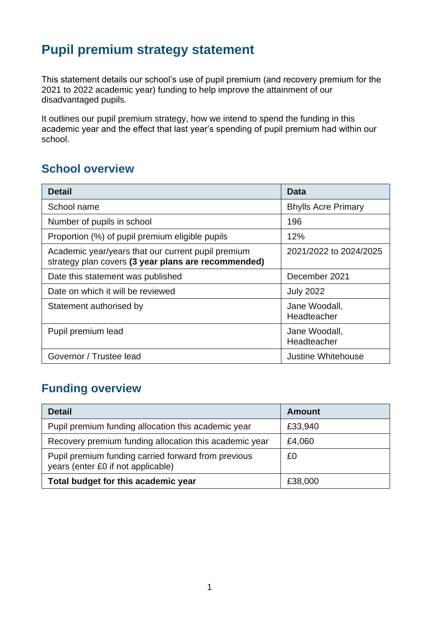## **Pupil premium strategy statement**

This statement details our school's use of pupil premium (and recovery premium for the 2021 to 2022 academic year) funding to help improve the attainment of our disadvantaged pupils.

It outlines our pupil premium strategy, how we intend to spend the funding in this academic year and the effect that last year's spending of pupil premium had within our school.

#### **School overview**

| <b>Detail</b>                                                                                             | Data                         |
|-----------------------------------------------------------------------------------------------------------|------------------------------|
| School name                                                                                               | <b>Bhylls Acre Primary</b>   |
| Number of pupils in school                                                                                | 196                          |
| Proportion (%) of pupil premium eligible pupils                                                           | 12%                          |
| Academic year/years that our current pupil premium<br>strategy plan covers (3 year plans are recommended) | 2021/2022 to 2024/2025       |
| Date this statement was published                                                                         | December 2021                |
| Date on which it will be reviewed                                                                         | <b>July 2022</b>             |
| Statement authorised by                                                                                   | Jane Woodall,<br>Headteacher |
| Pupil premium lead                                                                                        | Jane Woodall,<br>Headteacher |
| Governor / Trustee lead                                                                                   | Justine Whitehouse           |

### **Funding overview**

| <b>Detail</b>                                                                             | <b>Amount</b> |
|-------------------------------------------------------------------------------------------|---------------|
| Pupil premium funding allocation this academic year                                       | £33,940       |
| Recovery premium funding allocation this academic year                                    | £4,060        |
| Pupil premium funding carried forward from previous<br>years (enter £0 if not applicable) | £0            |
| Total budget for this academic year                                                       | £38,000       |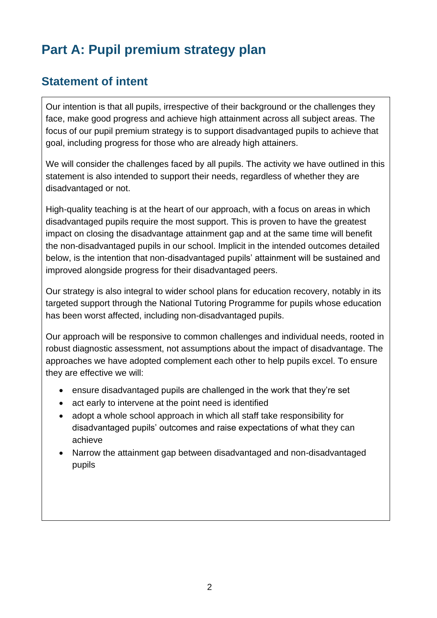# **Part A: Pupil premium strategy plan**

#### **Statement of intent**

Our intention is that all pupils, irrespective of their background or the challenges they face, make good progress and achieve high attainment across all subject areas. The focus of our pupil premium strategy is to support disadvantaged pupils to achieve that goal, including progress for those who are already high attainers.

We will consider the challenges faced by all pupils. The activity we have outlined in this statement is also intended to support their needs, regardless of whether they are disadvantaged or not.

High-quality teaching is at the heart of our approach, with a focus on areas in which disadvantaged pupils require the most support. This is proven to have the greatest impact on closing the disadvantage attainment gap and at the same time will benefit the non-disadvantaged pupils in our school. Implicit in the intended outcomes detailed below, is the intention that non-disadvantaged pupils' attainment will be sustained and improved alongside progress for their disadvantaged peers.

Our strategy is also integral to wider school plans for education recovery, notably in its targeted support through the National Tutoring Programme for pupils whose education has been worst affected, including non-disadvantaged pupils.

Our approach will be responsive to common challenges and individual needs, rooted in robust diagnostic assessment, not assumptions about the impact of disadvantage. The approaches we have adopted complement each other to help pupils excel. To ensure they are effective we will:

- ensure disadvantaged pupils are challenged in the work that they're set
- act early to intervene at the point need is identified
- adopt a whole school approach in which all staff take responsibility for disadvantaged pupils' outcomes and raise expectations of what they can achieve
- Narrow the attainment gap between disadvantaged and non-disadvantaged pupils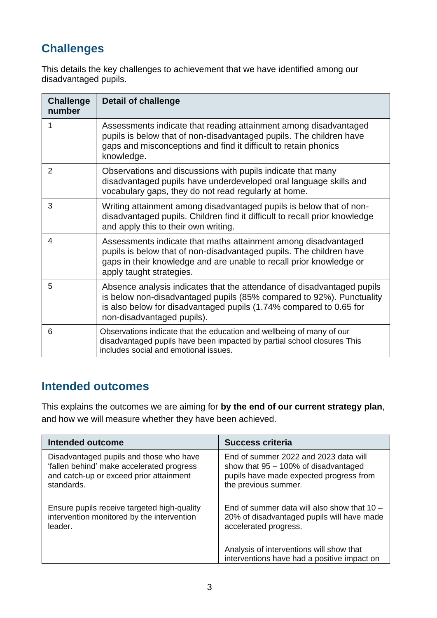### **Challenges**

This details the key challenges to achievement that we have identified among our disadvantaged pupils.

| <b>Challenge</b><br>number | <b>Detail of challenge</b>                                                                                                                                                                                                                         |
|----------------------------|----------------------------------------------------------------------------------------------------------------------------------------------------------------------------------------------------------------------------------------------------|
| 1                          | Assessments indicate that reading attainment among disadvantaged<br>pupils is below that of non-disadvantaged pupils. The children have<br>gaps and misconceptions and find it difficult to retain phonics<br>knowledge.                           |
| 2                          | Observations and discussions with pupils indicate that many<br>disadvantaged pupils have underdeveloped oral language skills and<br>vocabulary gaps, they do not read regularly at home.                                                           |
| 3                          | Writing attainment among disadvantaged pupils is below that of non-<br>disadvantaged pupils. Children find it difficult to recall prior knowledge<br>and apply this to their own writing.                                                          |
| 4                          | Assessments indicate that maths attainment among disadvantaged<br>pupils is below that of non-disadvantaged pupils. The children have<br>gaps in their knowledge and are unable to recall prior knowledge or<br>apply taught strategies.           |
| 5                          | Absence analysis indicates that the attendance of disadvantaged pupils<br>is below non-disadvantaged pupils (85% compared to 92%). Punctuality<br>is also below for disadvantaged pupils (1.74% compared to 0.65 for<br>non-disadvantaged pupils). |
| 6                          | Observations indicate that the education and wellbeing of many of our<br>disadvantaged pupils have been impacted by partial school closures This<br>includes social and emotional issues.                                                          |

#### **Intended outcomes**

This explains the outcomes we are aiming for **by the end of our current strategy plan**, and how we will measure whether they have been achieved.

| Intended outcome                            | <b>Success criteria</b>                                                                 |
|---------------------------------------------|-----------------------------------------------------------------------------------------|
| Disadvantaged pupils and those who have     | End of summer 2022 and 2023 data will                                                   |
| 'fallen behind' make accelerated progress   | show that $95 - 100\%$ of disadvantaged                                                 |
| and catch-up or exceed prior attainment     | pupils have made expected progress from                                                 |
| standards.                                  | the previous summer.                                                                    |
| Ensure pupils receive targeted high-quality | End of summer data will also show that $10 -$                                           |
| intervention monitored by the intervention  | 20% of disadvantaged pupils will have made                                              |
| leader.                                     | accelerated progress.                                                                   |
|                                             | Analysis of interventions will show that<br>interventions have had a positive impact on |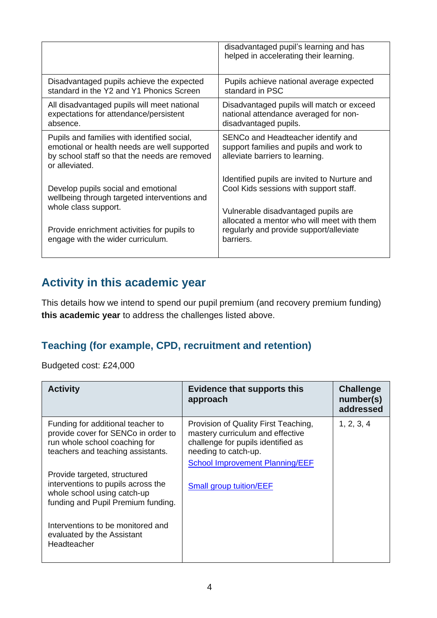|                                                                                                                                                                | disadvantaged pupil's learning and has<br>helped in accelerating their learning.                                                                                            |
|----------------------------------------------------------------------------------------------------------------------------------------------------------------|-----------------------------------------------------------------------------------------------------------------------------------------------------------------------------|
| Disadvantaged pupils achieve the expected                                                                                                                      | Pupils achieve national average expected                                                                                                                                    |
| standard in the Y2 and Y1 Phonics Screen                                                                                                                       | standard in PSC                                                                                                                                                             |
| All disadvantaged pupils will meet national                                                                                                                    | Disadvantaged pupils will match or exceed                                                                                                                                   |
| expectations for attendance/persistent                                                                                                                         | national attendance averaged for non-                                                                                                                                       |
| absence.                                                                                                                                                       | disadvantaged pupils.                                                                                                                                                       |
| Pupils and families with identified social,<br>emotional or health needs are well supported<br>by school staff so that the needs are removed<br>or alleviated. | SENCo and Headteacher identify and<br>support families and pupils and work to<br>alleviate barriers to learning.                                                            |
| Develop pupils social and emotional<br>wellbeing through targeted interventions and<br>whole class support.                                                    | Identified pupils are invited to Nurture and<br>Cool Kids sessions with support staff.<br>Vulnerable disadvantaged pupils are<br>allocated a mentor who will meet with them |
| Provide enrichment activities for pupils to                                                                                                                    | regularly and provide support/alleviate                                                                                                                                     |
| engage with the wider curriculum.                                                                                                                              | barriers.                                                                                                                                                                   |

#### **Activity in this academic year**

This details how we intend to spend our pupil premium (and recovery premium funding) **this academic year** to address the challenges listed above.

#### **Teaching (for example, CPD, recruitment and retention)**

Budgeted cost: £24,000

| <b>Activity</b>                                                                                                                                | <b>Evidence that supports this</b><br>approach                                                                                                                                   | <b>Challenge</b><br>number(s)<br>addressed |
|------------------------------------------------------------------------------------------------------------------------------------------------|----------------------------------------------------------------------------------------------------------------------------------------------------------------------------------|--------------------------------------------|
| Funding for additional teacher to<br>provide cover for SENCo in order to<br>run whole school coaching for<br>teachers and teaching assistants. | Provision of Quality First Teaching,<br>mastery curriculum and effective<br>challenge for pupils identified as<br>needing to catch-up.<br><b>School Improvement Planning/EEF</b> | 1, 2, 3, 4                                 |
| Provide targeted, structured<br>interventions to pupils across the<br>whole school using catch-up<br>funding and Pupil Premium funding.        | <b>Small group tuition/EEF</b>                                                                                                                                                   |                                            |
| Interventions to be monitored and<br>evaluated by the Assistant<br>Headteacher                                                                 |                                                                                                                                                                                  |                                            |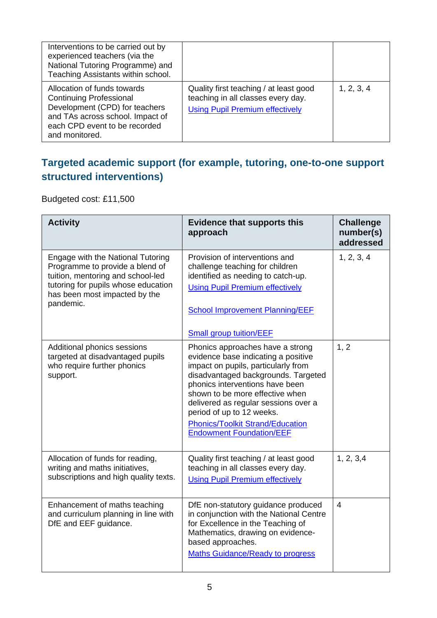| Interventions to be carried out by<br>experienced teachers (via the<br>National Tutoring Programme) and<br>Teaching Assistants within school.                                          |                                                                                                                        |            |
|----------------------------------------------------------------------------------------------------------------------------------------------------------------------------------------|------------------------------------------------------------------------------------------------------------------------|------------|
| Allocation of funds towards<br><b>Continuing Professional</b><br>Development (CPD) for teachers<br>and TAs across school. Impact of<br>each CPD event to be recorded<br>and monitored. | Quality first teaching / at least good<br>teaching in all classes every day.<br><b>Using Pupil Premium effectively</b> | 1, 2, 3, 4 |

#### **Targeted academic support (for example, tutoring, one-to-one support structured interventions)**

Budgeted cost: £11,500

| <b>Activity</b>                                                                                                                                                                                | <b>Evidence that supports this</b><br>approach                                                                                                                                                                                                                                                                                                                                 | <b>Challenge</b><br>number(s)<br>addressed |
|------------------------------------------------------------------------------------------------------------------------------------------------------------------------------------------------|--------------------------------------------------------------------------------------------------------------------------------------------------------------------------------------------------------------------------------------------------------------------------------------------------------------------------------------------------------------------------------|--------------------------------------------|
| Engage with the National Tutoring<br>Programme to provide a blend of<br>tuition, mentoring and school-led<br>tutoring for pupils whose education<br>has been most impacted by the<br>pandemic. | Provision of interventions and<br>challenge teaching for children<br>identified as needing to catch-up.<br><b>Using Pupil Premium effectively</b><br><b>School Improvement Planning/EEF</b><br><b>Small group tuition/EEF</b>                                                                                                                                                  | 1, 2, 3, 4                                 |
| Additional phonics sessions<br>targeted at disadvantaged pupils<br>who require further phonics<br>support.                                                                                     | Phonics approaches have a strong<br>evidence base indicating a positive<br>impact on pupils, particularly from<br>disadvantaged backgrounds. Targeted<br>phonics interventions have been<br>shown to be more effective when<br>delivered as regular sessions over a<br>period of up to 12 weeks.<br><b>Phonics/Toolkit Strand/Education</b><br><b>Endowment Foundation/EEF</b> | 1, 2                                       |
| Allocation of funds for reading,<br>writing and maths initiatives,<br>subscriptions and high quality texts.                                                                                    | Quality first teaching / at least good<br>teaching in all classes every day.<br><b>Using Pupil Premium effectively</b>                                                                                                                                                                                                                                                         | 1, 2, 3, 4                                 |
| Enhancement of maths teaching<br>and curriculum planning in line with<br>DfE and EEF guidance.                                                                                                 | DfE non-statutory guidance produced<br>in conjunction with the National Centre<br>for Excellence in the Teaching of<br>Mathematics, drawing on evidence-<br>based approaches.<br><b>Maths Guidance/Ready to progress</b>                                                                                                                                                       | $\overline{4}$                             |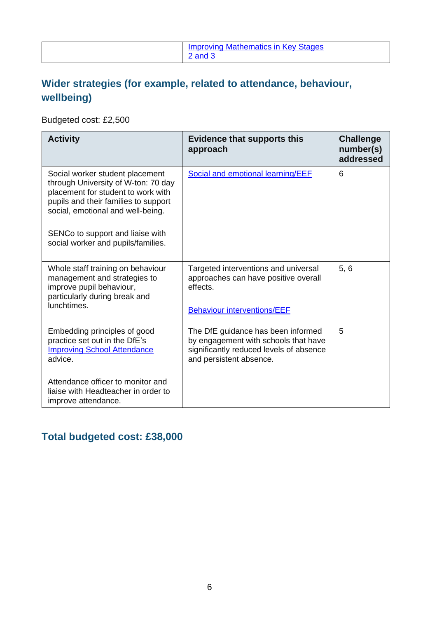|  | <b>Improving Mathematics in Key Stages</b><br>and 3 |  |
|--|-----------------------------------------------------|--|
|--|-----------------------------------------------------|--|

#### **Wider strategies (for example, related to attendance, behaviour, wellbeing)**

Budgeted cost: £2,500

| <b>Activity</b>                                                                                                                                                                           | <b>Evidence that supports this</b><br>approach                                                                                                   | <b>Challenge</b><br>number(s)<br>addressed |
|-------------------------------------------------------------------------------------------------------------------------------------------------------------------------------------------|--------------------------------------------------------------------------------------------------------------------------------------------------|--------------------------------------------|
| Social worker student placement<br>through University of W-ton: 70 day<br>placement for student to work with<br>pupils and their families to support<br>social, emotional and well-being. | Social and emotional learning/EEF                                                                                                                | 6                                          |
| SENCo to support and liaise with<br>social worker and pupils/families.                                                                                                                    |                                                                                                                                                  |                                            |
| Whole staff training on behaviour<br>management and strategies to<br>improve pupil behaviour,<br>particularly during break and<br>lunchtimes.                                             | Targeted interventions and universal<br>approaches can have positive overall<br>effects.<br><b>Behaviour interventions/EEF</b>                   | 5, 6                                       |
|                                                                                                                                                                                           |                                                                                                                                                  |                                            |
| Embedding principles of good<br>practice set out in the DfE's<br><b>Improving School Attendance</b><br>advice.                                                                            | The DfE guidance has been informed<br>by engagement with schools that have<br>significantly reduced levels of absence<br>and persistent absence. | 5                                          |
| Attendance officer to monitor and<br>liaise with Headteacher in order to<br>improve attendance.                                                                                           |                                                                                                                                                  |                                            |

#### **Total budgeted cost: £38,000**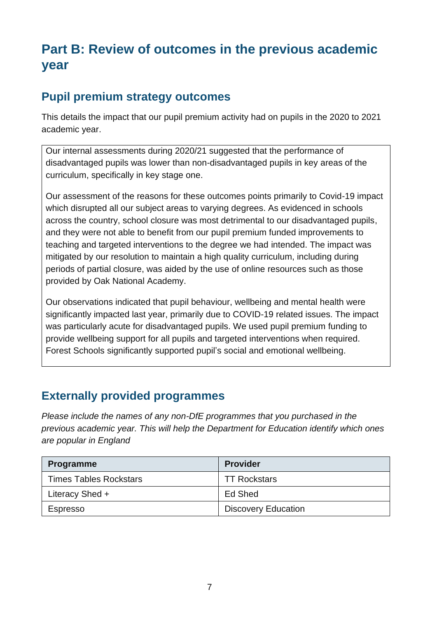# **Part B: Review of outcomes in the previous academic year**

#### **Pupil premium strategy outcomes**

This details the impact that our pupil premium activity had on pupils in the 2020 to 2021 academic year.

Our internal assessments during 2020/21 suggested that the performance of disadvantaged pupils was lower than non-disadvantaged pupils in key areas of the curriculum, specifically in key stage one.

Our assessment of the reasons for these outcomes points primarily to Covid-19 impact which disrupted all our subject areas to varying degrees. As evidenced in schools across the country, school closure was most detrimental to our disadvantaged pupils, and they were not able to benefit from our pupil premium funded improvements to teaching and targeted interventions to the degree we had intended. The impact was mitigated by our resolution to maintain a high quality curriculum, including during periods of partial closure, was aided by the use of online resources such as those provided by Oak National Academy.

Our observations indicated that pupil behaviour, wellbeing and mental health were significantly impacted last year, primarily due to COVID-19 related issues. The impact was particularly acute for disadvantaged pupils. We used pupil premium funding to provide wellbeing support for all pupils and targeted interventions when required. Forest Schools significantly supported pupil's social and emotional wellbeing.

#### **Externally provided programmes**

*Please include the names of any non-DfE programmes that you purchased in the previous academic year. This will help the Department for Education identify which ones are popular in England*

| <b>Programme</b>              | <b>Provider</b>            |
|-------------------------------|----------------------------|
| <b>Times Tables Rockstars</b> | <b>TT Rockstars</b>        |
| Literacy Shed +               | Ed Shed                    |
| Espresso                      | <b>Discovery Education</b> |